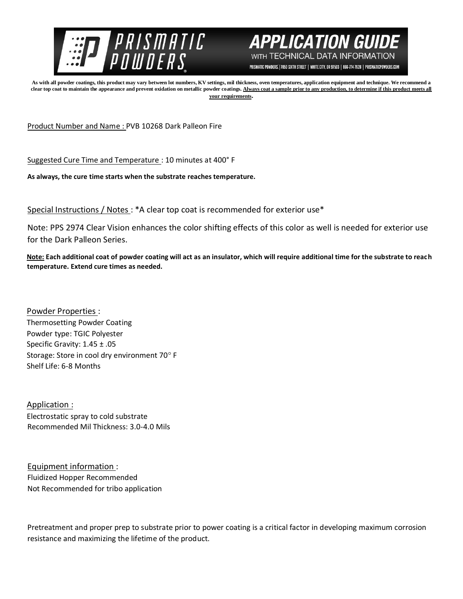



PRISMATIC POWDERS. | 7050 SIXTH STREET | WHITE CITY, OR 97503 | 866-774-7628 | PRISMATICPOWDERS.COM

**As with all powder coatings, this product may vary between lot numbers, KV settings, mil thickness, oven temperatures, application equipment and technique. We recommend a**  clear top coat to maintain the appearance and prevent oxidation on metallic powder coatings. Always coat a sample prior to any production, to determine if this product meets all **your requirements.** 

Product Number and Name : PVB 10268 Dark Palleon Fire

Suggested Cure Time and Temperature : 10 minutes at 400° F

**As always, the cure time starts when the substrate reaches temperature.**

Special Instructions / Notes : \*A clear top coat is recommended for exterior use\*

Note: PPS 2974 Clear Vision enhances the color shifting effects of this color as well is needed for exterior use for the Dark Palleon Series.

**Note: Each additional coat of powder coating will act as an insulator, which will require additional time for the substrate to reach temperature. Extend cure times as needed.** 

Powder Properties : Thermosetting Powder Coating Powder type: TGIC Polyester Specific Gravity: 1.45 ± .05 Storage: Store in cool dry environment 70°F Shelf Life: 6-8 Months

Application : Electrostatic spray to cold substrate Recommended Mil Thickness: 3.0-4.0 Mils

Equipment information : Fluidized Hopper Recommended Not Recommended for tribo application

Pretreatment and proper prep to substrate prior to power coating is a critical factor in developing maximum corrosion resistance and maximizing the lifetime of the product.